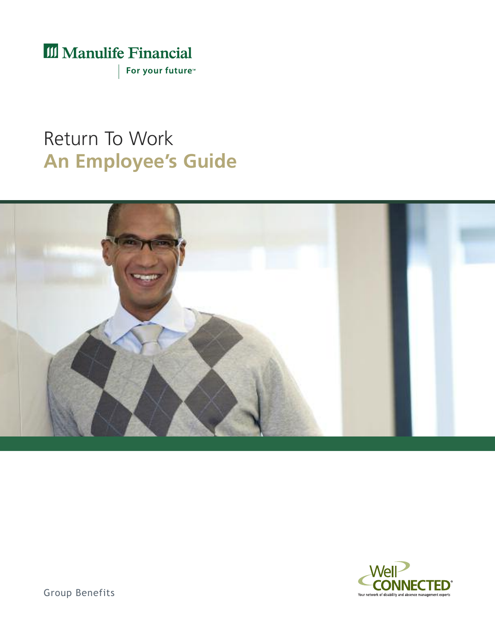# III Manulife Financial

For your future<sup>™</sup>

# Return To Work **An Employee's Guide**





Group Benefits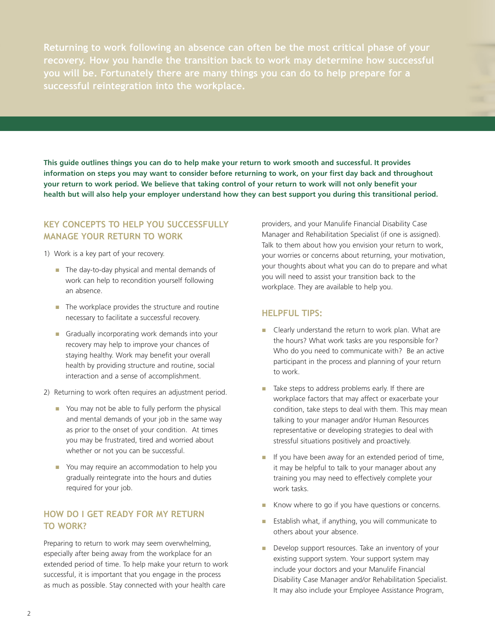**Returning to work following an absence can often be the most critical phase of your recovery. How you handle the transition back to work may determine how successful you will be. Fortunately there are many things you can do to help prepare for a successful reintegration into the workplace.**

This guide outlines things you can do to help make your return to work smooth and successful. It provides information on steps you may want to consider before returning to work, on your first day back and throughout your return to work period. We believe that taking control of your return to work will not only benefit your health but will also help your employer understand how they can best support you during this transitional period.

## **Key concepts to Help you successFully manage youR RetuRn to woRK**

#### 1) Work is a key part of your recovery.

- The day-to-day physical and mental demands of work can help to recondition yourself following an absence.
- $\blacksquare$  The workplace provides the structure and routine necessary to facilitate a successful recovery.
- **n** Gradually incorporating work demands into your recovery may help to improve your chances of staying healthy. Work may benefit your overall health by providing structure and routine, social interaction and a sense of accomplishment.
- 2) Returning to work often requires an adjustment period.
	- **n** You may not be able to fully perform the physical and mental demands of your job in the same way as prior to the onset of your condition. At times you may be frustrated, tired and worried about whether or not you can be successful.
	- **n** You may require an accommodation to help you gradually reintegrate into the hours and duties required for your job.

# **How do I get Ready FoR my RetuRn to woRK?**

Preparing to return to work may seem overwhelming, especially after being away from the workplace for an extended period of time. To help make your return to work successful, it is important that you engage in the process as much as possible. Stay connected with your health care

providers, and your Manulife Financial Disability Case Manager and Rehabilitation Specialist (if one is assigned). Talk to them about how you envision your return to work, your worries or concerns about returning, your motivation, your thoughts about what you can do to prepare and what you will need to assist your transition back to the workplace. They are available to help you.

#### **HelpFul tIps:**

- Clearly understand the return to work plan. What are the hours? What work tasks are you responsible for? Who do you need to communicate with? Be an active participant in the process and planning of your return to work.
- Take steps to address problems early. If there are workplace factors that may affect or exacerbate your condition, take steps to deal with them. This may mean talking to your manager and/or Human Resources representative or developing strategies to deal with stressful situations positively and proactively.
- **n** If you have been away for an extended period of time, it may be helpful to talk to your manager about any training you may need to effectively complete your work tasks.
- Know where to go if you have questions or concerns.
- Establish what, if anything, you will communicate to others about your absence.
- **n** Develop support resources. Take an inventory of your existing support system. Your support system may include your doctors and your Manulife Financial Disability Case Manager and/or Rehabilitation Specialist. It may also include your Employee Assistance Program,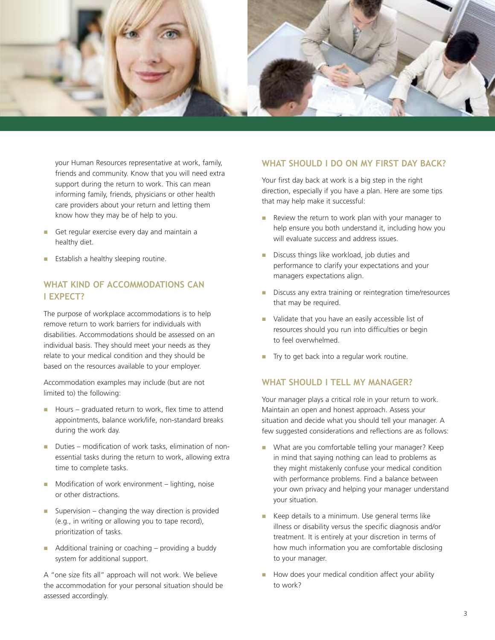

your Human Resources representative at work, family, friends and community. Know that you will need extra support during the return to work. This can mean informing family, friends, physicians or other health care providers about your return and letting them know how they may be of help to you.

- Get regular exercise every day and maintain a healthy diet.
- Establish a healthy sleeping routine.

# **wHat KInd oF accommodatIons can I expect?**

The purpose of workplace accommodations is to help remove return to work barriers for individuals with disabilities. Accommodations should be assessed on an individual basis. They should meet your needs as they relate to your medical condition and they should be based on the resources available to your employer.

Accommodation examples may include (but are not limited to) the following:

- Hours graduated return to work, flex time to attend appointments, balance work/life, non-standard breaks during the work day.
- Duties modification of work tasks, elimination of nonessential tasks during the return to work, allowing extra time to complete tasks.
- $\blacksquare$  Modification of work environment lighting, noise or other distractions.
- **n** Supervision changing the way direction is provided (e.g., in writing or allowing you to tape record), prioritization of tasks.
- $\blacksquare$  Additional training or coaching providing a buddy system for additional support.

A "one size fits all" approach will not work. We believe the accommodation for your personal situation should be assessed accordingly.

#### **wHat sHould I do on my FIRst day bacK?**

Your first day back at work is a big step in the right direction, especially if you have a plan. Here are some tips that may help make it successful:

- $\blacksquare$  Review the return to work plan with your manager to help ensure you both understand it, including how you will evaluate success and address issues.
- **n** Discuss things like workload, job duties and performance to clarify your expectations and your managers expectations align.
- **n** Discuss any extra training or reintegration time/resources that may be required.
- **n** Validate that you have an easily accessible list of resources should you run into difficulties or begin to feel overwhelmed.
- Try to get back into a regular work routine.

### **wHat sHould I tell my manageR?**

Your manager plays a critical role in your return to work. Maintain an open and honest approach. Assess your situation and decide what you should tell your manager. A few suggested considerations and reflections are as follows:

- **n** What are you comfortable telling your manager? Keep in mind that saying nothing can lead to problems as they might mistakenly confuse your medical condition with performance problems. Find a balance between your own privacy and helping your manager understand your situation.
- Keep details to a minimum. Use general terms like illness or disability versus the specific diagnosis and/or treatment. It is entirely at your discretion in terms of how much information you are comfortable disclosing to your manager.
- How does your medical condition affect your ability to work?